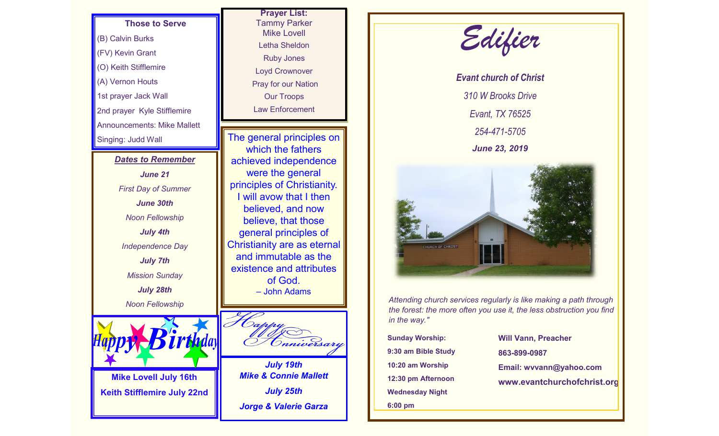## **Those to Serve**

(B) Calvin Burks (FV) Kevin Grant (O) Keith Stifflemire (A) Vernon Houts 1st prayer Jack Wall 2nd prayer Kyle Stifflemire Announcements: Mike Mallett Singing: Judd Wall

## *Dates to Remember June 21*

*First Day of Summer June 30th Noon Fellowship July 4th Independence Day July 7th Mission Sunday July 28th Noon Fellowship*



**Mike Lovell July 16th Keith Stifflemire July 22nd**



The general principles on which the fathers achieved independence were the general principles of Christianity. I will avow that I then believed, and now believe, that those general principles of Christianity are as eternal and immutable as the existence and attributes of God. – John Adams



*July 19th Mike & Connie Mallett July 25th Jorge & Valerie Garza*



*Evant church of Christ 310 W Brooks Drive Evant, TX 76525 254-471-5705 June 23, 2019*



*Attending church services regularly is like making a path through the forest: the more often you use it, the less obstruction you find in the way."*

**Sunday Worship: 9:30 am Bible Study 10:20 am Worship 12:30 pm Afternoon Wednesday Night 6:00 pm**

**Will Vann, Preacher 863-899-0987 Email: wvvann@yahoo.com www.evantchurchofchrist.org**